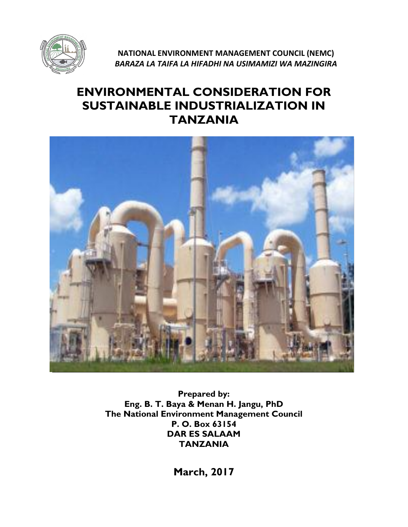

**NATIONAL ENVIRONMENT MANAGEMENT COUNCIL (NEMC)** *BARAZA LA TAIFA LA HIFADHI NA USIMAMIZI WA MAZINGIRA*

# **ENVIRONMENTAL CONSIDERATION FOR SUSTAINABLE INDUSTRIALIZATION IN TANZANIA**



**Prepared by: Eng. B. T. Baya & Menan H. Jangu, PhD The National Environment Management Council P. O. Box 63154 DAR ES SALAAM TANZANIA**

**March, 2017**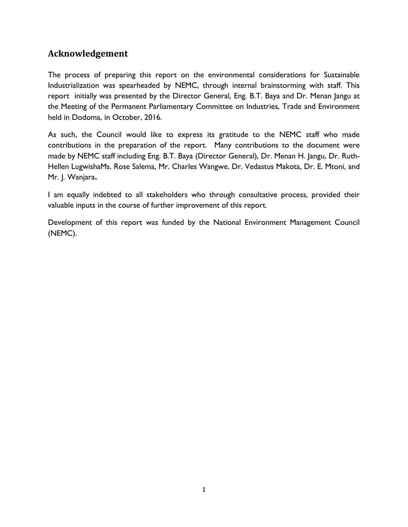## <span id="page-1-0"></span>**Acknowledgement**

The process of preparing this report on the environmental considerations for Sustainable Industrialization was spearheaded by NEMC, through internal brainstorming with staff. This report initially was presented by the Director General, Eng. B.T. Baya and Dr. Menan Jangu at the Meeting of the Permanent Parliamentary Committee on Industries, Trade and Environment held in Dodoma, in October, 2016.

As such, the Council would like to express its gratitude to the NEMC staff who made contributions in the preparation of the report. Many contributions to the document were made by NEMC staff including Eng. B.T. Baya (Director General), Dr. Menan H. Jangu, Dr. Ruth-Hellen LugwishaMs. Rose Salema, Mr. Charles Wangwe. Dr. Vedastus Makota, Dr. E. Mtoni, and Mr. J. Wanjara**.**

I am equally indebted to all stakeholders who through consultative process, provided their valuable inputs in the course of further improvement of this report.

Development of this report was funded by the National Environment Management Council (NEMC).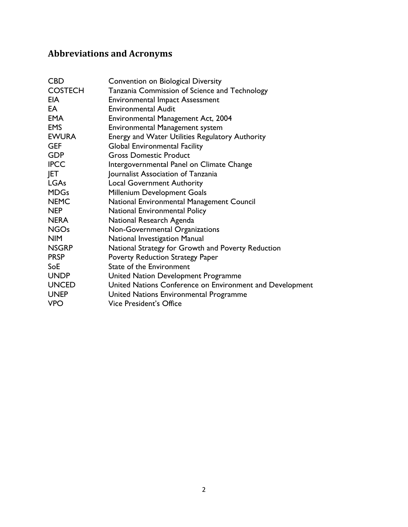# <span id="page-2-0"></span>**Abbreviations and Acronyms**

| <b>CBD</b>     | Convention on Biological Diversity                       |
|----------------|----------------------------------------------------------|
| <b>COSTECH</b> | Tanzania Commission of Science and Technology            |
| <b>EIA</b>     | <b>Environmental Impact Assessment</b>                   |
| EA             | <b>Environmental Audit</b>                               |
| <b>EMA</b>     | Environmental Management Act, 2004                       |
| <b>EMS</b>     | Environmental Management system                          |
| <b>EWURA</b>   | <b>Energy and Water Utilities Regulatory Authority</b>   |
| <b>GEF</b>     | <b>Global Environmental Facility</b>                     |
| <b>GDP</b>     | <b>Gross Domestic Product</b>                            |
| <b>IPCC</b>    | Intergovernmental Panel on Climate Change                |
| JET.           | Journalist Association of Tanzania                       |
| <b>LGAs</b>    | <b>Local Government Authority</b>                        |
| <b>MDGs</b>    | Millenium Development Goals                              |
| <b>NEMC</b>    | National Environmental Management Council                |
| <b>NEP</b>     | National Environmental Policy                            |
| <b>NERA</b>    | National Research Agenda                                 |
| <b>NGOs</b>    | Non-Governmental Organizations                           |
| <b>NIM</b>     | National Investigation Manual                            |
| <b>NSGRP</b>   | National Strategy for Growth and Poverty Reduction       |
| <b>PRSP</b>    | <b>Poverty Reduction Strategy Paper</b>                  |
| SoE            | State of the Environment                                 |
| <b>UNDP</b>    | United Nation Development Programme                      |
| <b>UNCED</b>   | United Nations Conference on Environment and Development |
| <b>UNEP</b>    | United Nations Environmental Programme                   |
| <b>VPO</b>     | <b>Vice President's Office</b>                           |
|                |                                                          |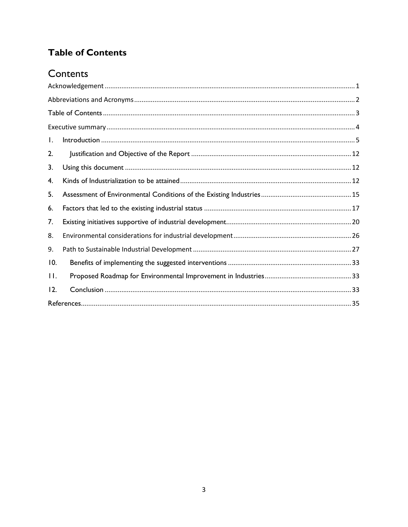# <span id="page-3-0"></span>**Table of Contents**

# Contents

| $\mathbf{I}$ . |  |
|----------------|--|
| 2.             |  |
| 3.             |  |
| 4.             |  |
| 5.             |  |
| 6.             |  |
| 7.             |  |
| 8.             |  |
| 9.             |  |
| 10.            |  |
| $\Pi$ .        |  |
| 12.            |  |
|                |  |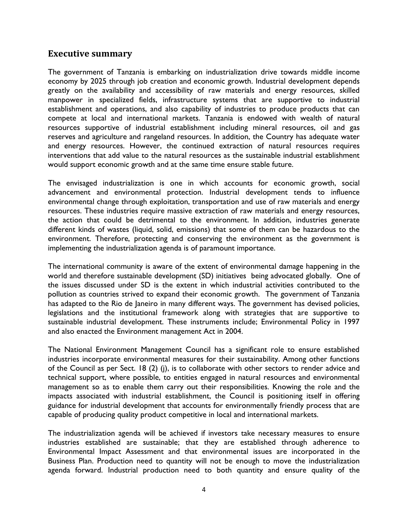### <span id="page-4-0"></span>**Executive summary**

The government of Tanzania is embarking on industrialization drive towards middle income economy by 2025 through job creation and economic growth. Industrial development depends greatly on the availability and accessibility of raw materials and energy resources, skilled manpower in specialized fields, infrastructure systems that are supportive to industrial establishment and operations, and also capability of industries to produce products that can compete at local and international markets. Tanzania is endowed with wealth of natural resources supportive of industrial establishment including mineral resources, oil and gas reserves and agriculture and rangeland resources. In addition, the Country has adequate water and energy resources. However, the continued extraction of natural resources requires interventions that add value to the natural resources as the sustainable industrial establishment would support economic growth and at the same time ensure stable future.

The envisaged industrialization is one in which accounts for economic growth, social advancement and environmental protection. Industrial development tends to influence environmental change through exploitation, transportation and use of raw materials and energy resources. These industries require massive extraction of raw materials and energy resources, the action that could be detrimental to the environment. In addition, industries generate different kinds of wastes (liquid, solid, emissions) that some of them can be hazardous to the environment. Therefore, protecting and conserving the environment as the government is implementing the industrialization agenda is of paramount importance.

The international community is aware of the extent of environmental damage happening in the world and therefore sustainable development (SD) initiatives being advocated globally. One of the issues discussed under SD is the extent in which industrial activities contributed to the pollution as countries strived to expand their economic growth. The government of Tanzania has adapted to the Rio de Janeiro in many different ways. The government has devised policies, legislations and the institutional framework along with strategies that are supportive to sustainable industrial development. These instruments include; Environmental Policy in 1997 and also enacted the Environment management Act in 2004.

The National Environment Management Council has a significant role to ensure established industries incorporate environmental measures for their sustainability. Among other functions of the Council as per Sect. 18 (2) (j), is to collaborate with other sectors to render advice and technical support, where possible, to entities engaged in natural resources and environmental management so as to enable them carry out their responsibilities. Knowing the role and the impacts associated with industrial establishment, the Council is positioning itself in offering guidance for industrial development that accounts for environmentally friendly process that are capable of producing quality product competitive in local and international markets.

The industrialization agenda will be achieved if investors take necessary measures to ensure industries established are sustainable; that they are established through adherence to Environmental Impact Assessment and that environmental issues are incorporated in the Business Plan. Production need to quantity will not be enough to move the industrialization agenda forward. Industrial production need to both quantity and ensure quality of the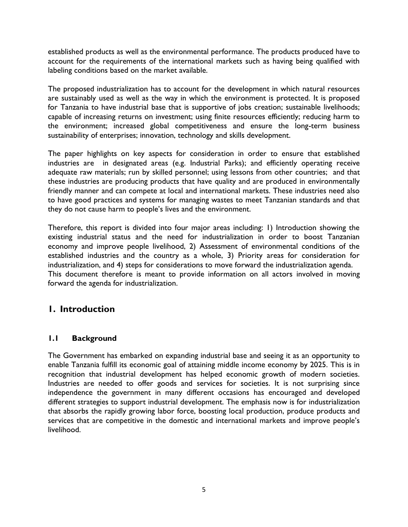established products as well as the environmental performance. The products produced have to account for the requirements of the international markets such as having being qualified with labeling conditions based on the market available.

The proposed industrialization has to account for the development in which natural resources are sustainably used as well as the way in which the environment is protected. It is proposed for Tanzania to have industrial base that is supportive of jobs creation; sustainable livelihoods; capable of increasing returns on investment; using finite resources efficiently; reducing harm to the environment; increased global competitiveness and ensure the long-term business sustainability of enterprises; innovation, technology and skills development.

The paper highlights on key aspects for consideration in order to ensure that established industries are in designated areas (e.g. Industrial Parks); and efficiently operating receive adequate raw materials; run by skilled personnel; using lessons from other countries; and that these industries are producing products that have quality and are produced in environmentally friendly manner and can compete at local and international markets. These industries need also to have good practices and systems for managing wastes to meet Tanzanian standards and that they do not cause harm to people's lives and the environment.

Therefore, this report is divided into four major areas including: 1) Introduction showing the existing industrial status and the need for industrialization in order to boost Tanzanian economy and improve people livelihood, 2) Assessment of environmental conditions of the established industries and the country as a whole, 3) Priority areas for consideration for industrialization, and 4) steps for considerations to move forward the industrialization agenda. This document therefore is meant to provide information on all actors involved in moving forward the agenda for industrialization.

## <span id="page-5-0"></span>**1. Introduction**

#### **1.1 Background**

The Government has embarked on expanding industrial base and seeing it as an opportunity to enable Tanzania fulfill its economic goal of attaining middle income economy by 2025. This is in recognition that industrial development has helped economic growth of modern societies. Industries are needed to offer goods and services for societies. It is not surprising since independence the government in many different occasions has encouraged and developed different strategies to support industrial development. The emphasis now is for industrialization that absorbs the rapidly growing labor force, boosting local production, produce products and services that are competitive in the domestic and international markets and improve people's livelihood.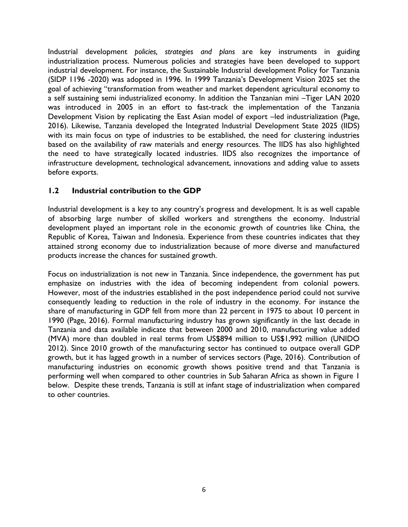Industrial development *policies, strategies and plans* are key instruments in guiding industrialization process. Numerous policies and strategies have been developed to support industrial development. For instance, the Sustainable Industrial development Policy for Tanzania (SIDP 1196 -2020) was adopted in 1996. In 1999 Tanzania's Development Vision 2025 set the goal of achieving "transformation from weather and market dependent agricultural economy to a self sustaining semi industrialized economy. In addition the Tanzanian mini –Tiger LAN 2020 was introduced in 2005 in an effort to fast-track the implementation of the Tanzania Development Vision by replicating the East Asian model of export –led industrialization (Page, 2016). Likewise, Tanzania developed the Integrated Industrial Development State 2025 (IIDS) with its main focus on type of industries to be established, the need for clustering industries based on the availability of raw materials and energy resources. The IIDS has also highlighted the need to have strategically located industries. IIDS also recognizes the importance of infrastructure development, technological advancement, innovations and adding value to assets before exports.

### **1.2 Industrial contribution to the GDP**

Industrial development is a key to any country's progress and development. It is as well capable of absorbing large number of skilled workers and strengthens the economy. Industrial development played an important role in the economic growth of countries like China, the Republic of Korea, Taiwan and Indonesia. Experience from these countries indicates that they attained strong economy due to industrialization because of more diverse and manufactured products increase the chances for sustained growth.

Focus on industrialization is not new in Tanzania. Since independence, the government has put emphasize on industries with the idea of becoming independent from colonial powers. However, most of the industries established in the post independence period could not survive consequently leading to reduction in the role of industry in the economy. For instance the share of manufacturing in GDP fell from more than 22 percent in 1975 to about 10 percent in 1990 (Page, 2016). Formal manufacturing industry has grown significantly in the last decade in Tanzania and data available indicate that between 2000 and 2010, manufacturing value added (MVA) more than doubled in real terms from US\$894 million to US\$1,992 million (UNIDO 2012). Since 2010 growth of the manufacturing sector has continued to outpace overall GDP growth, but it has lagged growth in a number of services sectors (Page, 2016). Contribution of manufacturing industries on economic growth shows positive trend and that Tanzania is performing well when compared to other countries in Sub Saharan Africa as shown in Figure 1 below. Despite these trends, Tanzania is still at infant stage of industrialization when compared to other countries.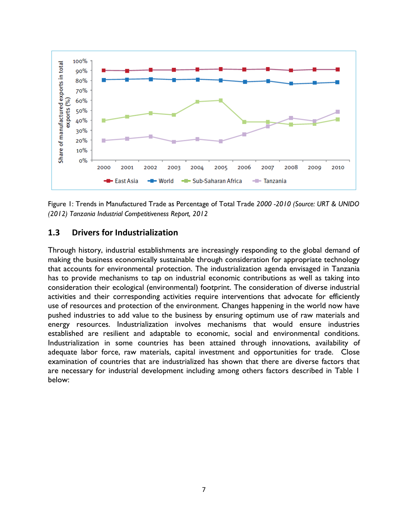

Figure 1: Trends in Manufactured Trade as Percentage of Total Trade *2000 -2010 (Source: URT & UNIDO (2012) Tanzania Industrial Competitiveness Report, 2012* 

#### **1.3 Drivers for Industrialization**

Through history, industrial establishments are increasingly responding to the global demand of making the business economically sustainable through consideration for appropriate technology that accounts for environmental protection. The industrialization agenda envisaged in Tanzania has to provide mechanisms to tap on industrial economic contributions as well as taking into consideration their ecological (environmental) footprint. The consideration of diverse industrial activities and their corresponding activities require interventions that advocate for efficiently use of resources and protection of the environment. Changes happening in the world now have pushed industries to add value to the business by ensuring optimum use of raw materials and energy resources. Industrialization involves mechanisms that would ensure industries established are resilient and adaptable to economic, social and environmental conditions. Industrialization in some countries has been attained through innovations, availability of adequate labor force, raw materials, capital investment and opportunities for trade. Close examination of countries that are industrialized has shown that there are diverse factors that are necessary for industrial development including among others factors described in Table 1 below: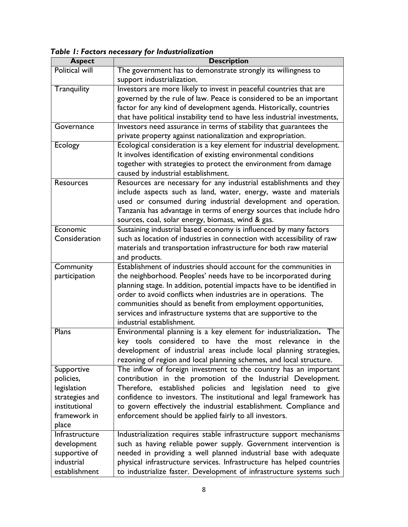| Table 1: Factors necessary for Industrialization |  |  |  |  |  |  |
|--------------------------------------------------|--|--|--|--|--|--|
|--------------------------------------------------|--|--|--|--|--|--|

| <b>Aspect</b>         | <b>Description</b>                                                           |
|-----------------------|------------------------------------------------------------------------------|
| <b>Political will</b> | The government has to demonstrate strongly its willingness to                |
|                       | support industrialization.                                                   |
| Tranquility           | Investors are more likely to invest in peaceful countries that are           |
|                       | governed by the rule of law. Peace is considered to be an important          |
|                       | factor for any kind of development agenda. Historically, countries           |
|                       | that have political instability tend to have less industrial investments,    |
| Governance            | Investors need assurance in terms of stability that guarantees the           |
|                       | private property against nationalization and expropriation.                  |
| <b>Ecology</b>        | Ecological consideration is a key element for industrial development.        |
|                       | It involves identification of existing environmental conditions              |
|                       | together with strategies to protect the environment from damage              |
|                       | caused by industrial establishment.                                          |
| <b>Resources</b>      | Resources are necessary for any industrial establishments and they           |
|                       | include aspects such as land, water, energy, waste and materials             |
|                       | used or consumed during industrial development and operation.                |
|                       | Tanzania has advantage in terms of energy sources that include hdro          |
|                       | sources, coal, solar energy, biomass, wind & gas.                            |
| Economic              | Sustaining industrial based economy is influenced by many factors            |
| Consideration         | such as location of industries in connection with accessibility of raw       |
|                       | materials and transportation infrastructure for both raw material            |
|                       | and products.                                                                |
| Community             | Establishment of industries should account for the communities in            |
| participation         | the neighborhood. Peoples' needs have to be incorporated during              |
|                       | planning stage. In addition, potential impacts have to be identified in      |
|                       | order to avoid conflicts when industries are in operations. The              |
|                       | communities should as benefit from employment opportunities,                 |
|                       | services and infrastructure systems that are supportive to the               |
|                       | industrial establishment.                                                    |
| Plans                 | Environmental planning is a key element for industrialization.<br><b>The</b> |
|                       | key tools considered to have the most relevance<br>the<br>in                 |
|                       | development of industrial areas include local planning strategies,           |
|                       | rezoning of region and local planning schemes, and local structure.          |
| Supportive            | The inflow of foreign investment to the country has an important             |
| policies,             | contribution in the promotion of the Industrial Development.                 |
| legislation           | Therefore, established policies and legislation need to give                 |
| strategies and        | confidence to investors. The institutional and legal framework has           |
| institutional         | to govern effectively the industrial establishment. Compliance and           |
| framework in          | enforcement should be applied fairly to all investors.                       |
| place                 |                                                                              |
| Infrastructure        | Industrialization requires stable infrastructure support mechanisms          |
| development           | such as having reliable power supply. Government intervention is             |
| supportive of         | needed in providing a well planned industrial base with adequate             |
| industrial            | physical infrastructure services. Infrastructure has helped countries        |
| establishment         | to industrialize faster. Development of infrastructure systems such          |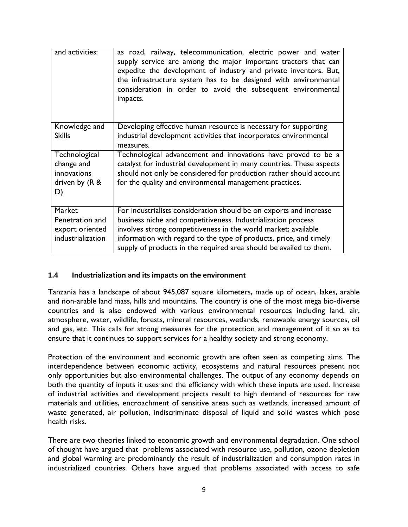| and activities:                                                    | as road, railway, telecommunication, electric power and water<br>supply service are among the major important tractors that can<br>expedite the development of industry and private inventors. But,<br>the infrastructure system has to be designed with environmental<br>consideration in order to avoid the subsequent environmental<br>impacts. |
|--------------------------------------------------------------------|----------------------------------------------------------------------------------------------------------------------------------------------------------------------------------------------------------------------------------------------------------------------------------------------------------------------------------------------------|
| Knowledge and                                                      | Developing effective human resource is necessary for supporting                                                                                                                                                                                                                                                                                    |
| <b>Skills</b>                                                      | industrial development activities that incorporates environmental<br>measures.                                                                                                                                                                                                                                                                     |
| Technological<br>change and<br>innovations<br>driven by (R &<br>D) | Technological advancement and innovations have proved to be a<br>catalyst for industrial development in many countries. These aspects<br>should not only be considered for production rather should account<br>for the quality and environmental management practices.                                                                             |
| Market                                                             | For industrialists consideration should be on exports and increase                                                                                                                                                                                                                                                                                 |
| Penetration and                                                    | business niche and competitiveness. Industrialization process                                                                                                                                                                                                                                                                                      |
| export oriented                                                    | involves strong competitiveness in the world market; available                                                                                                                                                                                                                                                                                     |
| industrialization                                                  | information with regard to the type of products, price, and timely<br>supply of products in the required area should be availed to them.                                                                                                                                                                                                           |
|                                                                    |                                                                                                                                                                                                                                                                                                                                                    |

#### **1.4 Industrialization and its impacts on the environment**

Tanzania has a landscape of about 945,087 square kilometers, made up of ocean, lakes, arable and non-arable land mass, hills and mountains. The country is one of the most mega bio-diverse countries and is also endowed with various environmental resources including land, air, atmosphere, water, wildlife, forests, mineral resources, wetlands, renewable energy sources, oil and gas, etc. This calls for strong measures for the protection and management of it so as to ensure that it continues to support services for a healthy society and strong economy.

Protection of the environment and economic growth are often seen as competing aims. The interdependence between economic activity, ecosystems and natural resources present not only opportunities but also environmental challenges. The output of any economy depends on both the quantity of inputs it uses and the efficiency with which these inputs are used. Increase of industrial activities and development projects result to high demand of resources for raw materials and utilities, encroachment of sensitive areas such as wetlands, increased amount of waste generated, air pollution, indiscriminate disposal of liquid and solid wastes which pose health risks.

There are two theories linked to economic growth and environmental degradation. One school of thought have argued that problems associated with resource use, pollution, ozone depletion and global warming are predominantly the result of industrialization and consumption rates in industrialized countries. Others have argued that problems associated with access to safe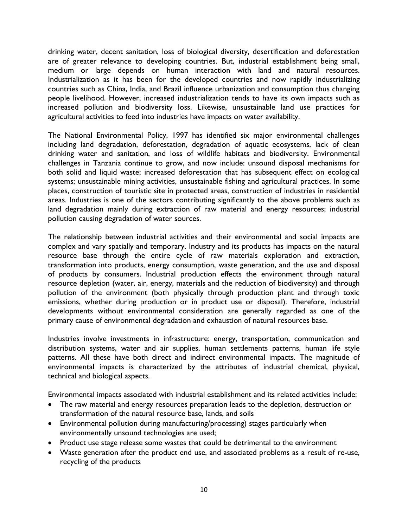drinking water, decent sanitation, loss of biological diversity, desertification and deforestation are of greater relevance to developing countries. But, industrial establishment being small, medium or large depends on human interaction with land and natural resources. Industrialization as it has been for the developed countries and now rapidly industrializing countries such as China, India, and Brazil influence urbanization and consumption thus changing people livelihood. However, increased industrialization tends to have its own impacts such as increased pollution and biodiversity loss. Likewise, unsustainable land use practices for agricultural activities to feed into industries have impacts on water availability.

The National Environmental Policy, 1997 has identified six major environmental challenges including land degradation, deforestation, degradation of aquatic ecosystems, lack of clean drinking water and sanitation, and loss of wildlife habitats and biodiversity. Environmental challenges in Tanzania continue to grow, and now include: unsound disposal mechanisms for both solid and liquid waste; increased deforestation that has subsequent effect on ecological systems; unsustainable mining activities, unsustainable fishing and agricultural practices. In some places, construction of touristic site in protected areas, construction of industries in residential areas. Industries is one of the sectors contributing significantly to the above problems such as land degradation mainly during extraction of raw material and energy resources; industrial pollution causing degradation of water sources.

The relationship between industrial activities and their environmental and social impacts are complex and vary spatially and temporary. Industry and its products has impacts on the natural resource base through the entire cycle of raw materials exploration and extraction, transformation into products, energy consumption, waste generation, and the use and disposal of products by consumers. Industrial production effects the environment through natural resource depletion (water, air, energy, materials and the reduction of biodiversity) and through pollution of the environment (both physically through production plant and through toxic emissions, whether during production or in product use or disposal). Therefore, industrial developments without environmental consideration are generally regarded as one of the primary cause of environmental degradation and exhaustion of natural resources base.

Industries involve investments in infrastructure: energy, transportation, communication and distribution systems, water and air supplies, human settlements patterns, human life style patterns. All these have both direct and indirect environmental impacts. The magnitude of environmental impacts is characterized by the attributes of industrial chemical, physical, technical and biological aspects.

Environmental impacts associated with industrial establishment and its related activities include:

- The raw material and energy resources preparation leads to the depletion, destruction or transformation of the natural resource base, lands, and soils
- Environmental pollution during manufacturing/processing) stages particularly when environmentally unsound technologies are used;
- Product use stage release some wastes that could be detrimental to the environment
- Waste generation after the product end use, and associated problems as a result of re-use, recycling of the products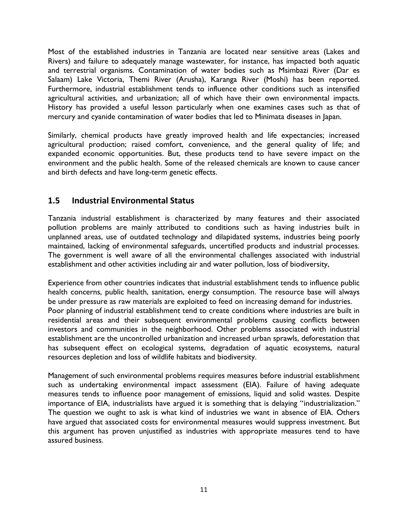Most of the established industries in Tanzania are located near sensitive areas (Lakes and Rivers) and failure to adequately manage wastewater, for instance, has impacted both aquatic and terrestrial organisms. Contamination of water bodies such as Msimbazi River (Dar es Salaam) Lake Victoria, Themi River (Arusha), Karanga River (Moshi) has been reported. Furthermore, industrial establishment tends to influence other conditions such as intensified agricultural activities, and urbanization; all of which have their own environmental impacts. History has provided a useful lesson particularly when one examines cases such as that of mercury and cyanide contamination of water bodies that led to Minimata diseases in Japan.

Similarly, chemical products have greatly improved health and life expectancies; increased agricultural production; raised comfort, convenience, and the general quality of life; and expanded economic opportunities. But, these products tend to have severe impact on the environment and the public health. Some of the released chemicals are known to cause cancer and birth defects and have long-term genetic effects.

### **1.5 Industrial Environmental Status**

Tanzania industrial establishment is characterized by many features and their associated pollution problems are mainly attributed to conditions such as having industries built in unplanned areas, use of outdated technology and dilapidated systems, industries being poorly maintained, lacking of environmental safeguards, uncertified products and industrial processes. The government is well aware of all the environmental challenges associated with industrial establishment and other activities including air and water pollution, loss of biodiversity,

Experience from other countries indicates that industrial establishment tends to influence public health concerns, public health, sanitation, energy consumption. The resource base will always be under pressure as raw materials are exploited to feed on increasing demand for industries. Poor planning of industrial establishment tend to create conditions where industries are built in residential areas and their subsequent environmental problems causing conflicts between investors and communities in the neighborhood. Other problems associated with industrial establishment are the uncontrolled urbanization and increased urban sprawls, deforestation that has subsequent effect on ecological systems, degradation of aquatic ecosystems, natural resources depletion and loss of wildlife habitats and biodiversity.

Management of such environmental problems requires measures before industrial establishment such as undertaking environmental impact assessment (EIA). Failure of having adequate measures tends to influence poor management of emissions, liquid and solid wastes. Despite importance of EIA, industrialists have argued it is something that is delaying "industrialization." The question we ought to ask is what kind of industries we want in absence of EIA. Others have argued that associated costs for environmental measures would suppress investment. But this argument has proven unjustified as industries with appropriate measures tend to have assured business.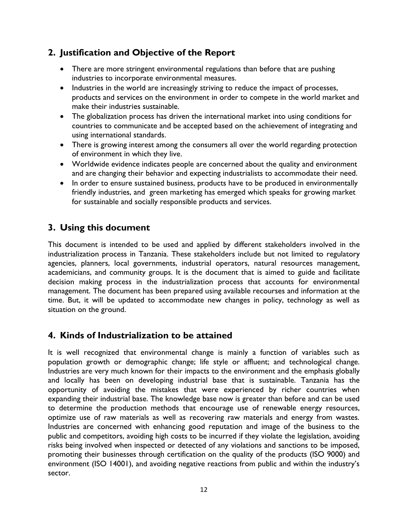# <span id="page-12-0"></span>**2. Justification and Objective of the Report**

- There are more stringent environmental regulations than before that are pushing industries to incorporate environmental measures.
- Industries in the world are increasingly striving to reduce the impact of processes, products and services on the environment in order to compete in the world market and make their industries sustainable.
- The globalization process has driven the international market into using conditions for countries to communicate and be accepted based on the achievement of integrating and using international standards.
- There is growing interest among the consumers all over the world regarding protection of environment in which they live.
- Worldwide evidence indicates people are concerned about the quality and environment and are changing their behavior and expecting industrialists to accommodate their need.
- In order to ensure sustained business, products have to be produced in environmentally friendly industries, and green marketing has emerged which speaks for growing market for sustainable and socially responsible products and services.

# <span id="page-12-1"></span>**3. Using this document**

This document is intended to be used and applied by different stakeholders involved in the industrialization process in Tanzania. These stakeholders include but not limited to regulatory agencies, planners, local governments, industrial operators, natural resources management, academicians, and community groups. It is the document that is aimed to guide and facilitate decision making process in the industrialization process that accounts for environmental management. The document has been prepared using available recourses and information at the time. But, it will be updated to accommodate new changes in policy, technology as well as situation on the ground.

# <span id="page-12-2"></span>**4. Kinds of Industrialization to be attained**

It is well recognized that environmental change is mainly a function of variables such as population growth or demographic change; life style or affluent; and technological change. Industries are very much known for their impacts to the environment and the emphasis globally and locally has been on developing industrial base that is sustainable. Tanzania has the opportunity of avoiding the mistakes that were experienced by richer countries when expanding their industrial base. The knowledge base now is greater than before and can be used to determine the production methods that encourage use of renewable energy resources, optimize use of raw materials as well as recovering raw materials and energy from wastes. Industries are concerned with enhancing good reputation and image of the business to the public and competitors, avoiding high costs to be incurred if they violate the legislation, avoiding risks being involved when inspected or detected of any violations and sanctions to be imposed, promoting their businesses through certification on the quality of the products (ISO 9000) and environment (ISO 14001), and avoiding negative reactions from public and within the industry's sector.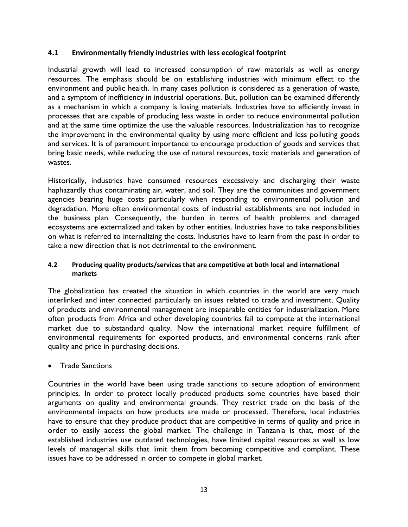#### **4.1 Environmentally friendly industries with less ecological footprint**

Industrial growth will lead to increased consumption of raw materials as well as energy resources. The emphasis should be on establishing industries with minimum effect to the environment and public health. In many cases pollution is considered as a generation of waste, and a symptom of inefficiency in industrial operations. But, pollution can be examined differently as a mechanism in which a company is losing materials. Industries have to efficiently invest in processes that are capable of producing less waste in order to reduce environmental pollution and at the same time optimize the use the valuable resources. Industrialization has to recognize the improvement in the environmental quality by using more efficient and less polluting goods and services. It is of paramount importance to encourage production of goods and services that bring basic needs, while reducing the use of natural resources, toxic materials and generation of wastes.

Historically, industries have consumed resources excessively and discharging their waste haphazardly thus contaminating air, water, and soil. They are the communities and government agencies bearing huge costs particularly when responding to environmental pollution and degradation. More often environmental costs of industrial establishments are not included in the business plan. Consequently, the burden in terms of health problems and damaged ecosystems are externalized and taken by other entities. Industries have to take responsibilities on what is referred to internalizing the costs. Industries have to learn from the past in order to take a new direction that is not detrimental to the environment.

#### **4.2 Producing quality products/services that are competitive at both local and international markets**

The globalization has created the situation in which countries in the world are very much interlinked and inter connected particularly on issues related to trade and investment. Quality of products and environmental management are inseparable entities for industrialization. More often products from Africa and other developing countries fail to compete at the international market due to substandard quality. Now the international market require fulfillment of environmental requirements for exported products, and environmental concerns rank after quality and price in purchasing decisions.

#### Trade Sanctions

Countries in the world have been using trade sanctions to secure adoption of environment principles. In order to protect locally produced products some countries have based their arguments on quality and environmental grounds. They restrict trade on the basis of the environmental impacts on how products are made or processed. Therefore, local industries have to ensure that they produce product that are competitive in terms of quality and price in order to easily access the global market. The challenge in Tanzania is that, most of the established industries use outdated technologies, have limited capital resources as well as low levels of managerial skills that limit them from becoming competitive and compliant. These issues have to be addressed in order to compete in global market.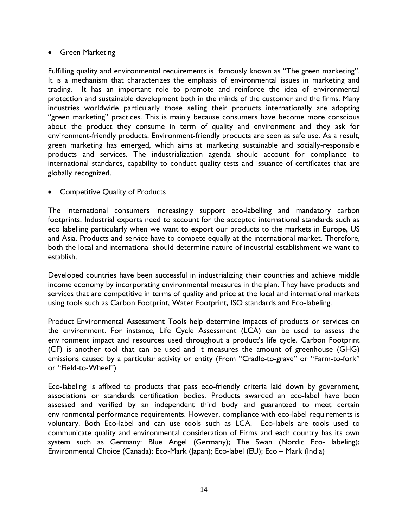#### **•** Green Marketing

Fulfilling quality and environmental requirements is famously known as "The green marketing". It is a mechanism that characterizes the emphasis of environmental issues in marketing and trading. It has an important role to promote and reinforce the idea of environmental protection and sustainable development both in the minds of the customer and the firms. Many industries worldwide particularly those selling their products internationally are adopting "green marketing" practices. This is mainly because consumers have become more conscious about the product they consume in term of quality and environment and they ask for environment-friendly products. Environment-friendly products are seen as safe use. As a result, green marketing has emerged, which aims at marketing sustainable and socially-responsible products and services. The industrialization agenda should account for compliance to international standards, capability to conduct quality tests and issuance of certificates that are globally recognized.

#### • Competitive Quality of Products

The international consumers increasingly support eco-labelling and mandatory carbon footprints. Industrial exports need to account for the accepted international standards such as eco labelling particularly when we want to export our products to the markets in Europe, US and Asia. Products and service have to compete equally at the international market. Therefore, both the local and international should determine nature of industrial establishment we want to establish.

Developed countries have been successful in industrializing their countries and achieve middle income economy by incorporating environmental measures in the plan. They have products and services that are competitive in terms of quality and price at the local and international markets using tools such as Carbon Footprint, Water Footprint, ISO standards and Eco-labeling.

Product Environmental Assessment Tools help determine impacts of products or services on the environment. For instance, Life Cycle Assessment (LCA) can be used to assess the environment impact and resources used throughout a product's life cycle. Carbon Footprint (CF) is another tool that can be used and it measures the amount of greenhouse (GHG) emissions caused by a particular activity or entity (From "Cradle-to-grave" or "Farm-to-fork" or "Field-to-Wheel").

Eco-labeling is affixed to products that pass eco-friendly criteria laid down by government, associations or standards certification bodies. Products awarded an eco-label have been assessed and verified by an independent third body and guaranteed to meet certain environmental performance requirements. However, compliance with eco-label requirements is voluntary. Both Eco-label and can use tools such as LCA. Eco-labels are tools used to communicate quality and environmental consideration of Firms and each country has its own system such as Germany: Blue Angel (Germany); The Swan (Nordic Eco- labeling); Environmental Choice (Canada); Eco-Mark (Japan); Eco-label (EU); Eco – Mark (India)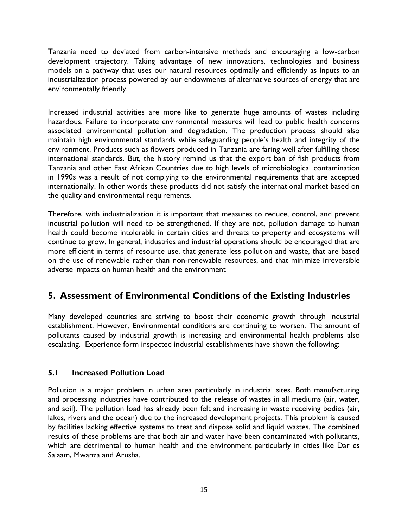Tanzania need to deviated from carbon-intensive methods and encouraging a low-carbon development trajectory. Taking advantage of new innovations, technologies and business models on a pathway that uses our natural resources optimally and efficiently as inputs to an industrialization process powered by our endowments of alternative sources of energy that are environmentally friendly.

Increased industrial activities are more like to generate huge amounts of wastes including hazardous. Failure to incorporate environmental measures will lead to public health concerns associated environmental pollution and degradation. The production process should also maintain high environmental standards while safeguarding people's health and integrity of the environment. Products such as flowers produced in Tanzania are faring well after fulfilling those international standards. But, the history remind us that the export ban of fish products from Tanzania and other East African Countries due to high levels of microbiological contamination in 1990s was a result of not complying to the environmental requirements that are accepted internationally. In other words these products did not satisfy the international market based on the quality and environmental requirements.

Therefore, with industrialization it is important that measures to reduce, control, and prevent industrial pollution will need to be strengthened. If they are not, pollution damage to human health could become intolerable in certain cities and threats to property and ecosystems will continue to grow. In general, industries and industrial operations should be encouraged that are more efficient in terms of resource use, that generate less pollution and waste, that are based on the use of renewable rather than non-renewable resources, and that minimize irreversible adverse impacts on human health and the environment

# <span id="page-15-0"></span>**5. Assessment of Environmental Conditions of the Existing Industries**

Many developed countries are striving to boost their economic growth through industrial establishment. However, Environmental conditions are continuing to worsen. The amount of pollutants caused by industrial growth is increasing and environmental health problems also escalating. Experience form inspected industrial establishments have shown the following:

#### **5.1 Increased Pollution Load**

Pollution is a major problem in urban area particularly in industrial sites. Both manufacturing and processing industries have contributed to the release of wastes in all mediums (air, water, and soil). The pollution load has already been felt and increasing in waste receiving bodies (air, lakes, rivers and the ocean) due to the increased development projects. This problem is caused by facilities lacking effective systems to treat and dispose solid and liquid wastes. The combined results of these problems are that both air and water have been contaminated with pollutants, which are detrimental to human health and the environment particularly in cities like Dar es Salaam, Mwanza and Arusha.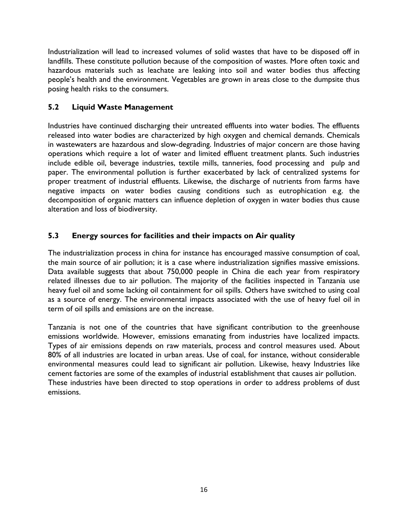Industrialization will lead to increased volumes of solid wastes that have to be disposed off in landfills. These constitute pollution because of the composition of wastes. More often toxic and hazardous materials such as leachate are leaking into soil and water bodies thus affecting people's health and the environment. Vegetables are grown in areas close to the dumpsite thus posing health risks to the consumers.

### **5.2 Liquid Waste Management**

Industries have continued discharging their untreated effluents into water bodies. The effluents released into water bodies are characterized by high oxygen and chemical demands. Chemicals in wastewaters are hazardous and slow-degrading. Industries of major concern are those having operations which require a lot of water and limited effluent treatment plants. Such industries include edible oil, beverage industries, textile mills, tanneries, food processing and pulp and paper. The environmental pollution is further exacerbated by lack of centralized systems for proper treatment of industrial effluents. Likewise, the discharge of nutrients from farms have negative impacts on water bodies causing conditions such as eutrophication e.g. the decomposition of organic matters can influence depletion of oxygen in water bodies thus cause alteration and loss of biodiversity.

### **5.3 Energy sources for facilities and their impacts on Air quality**

The industrialization process in china for instance has encouraged massive consumption of coal, the main source of air pollution; it is a case where industrialization signifies massive emissions. Data available suggests that about 750,000 people in China die each year from respiratory related illnesses due to air pollution. The majority of the facilities inspected in Tanzania use heavy fuel oil and some lacking oil containment for oil spills. Others have switched to using coal as a source of energy. The environmental impacts associated with the use of heavy fuel oil in term of oil spills and emissions are on the increase.

Tanzania is not one of the countries that have significant contribution to the greenhouse emissions worldwide. However, emissions emanating from industries have localized impacts. Types of air emissions depends on raw materials, process and control measures used. About 80% of all industries are located in urban areas. Use of coal, for instance, without considerable environmental measures could lead to significant air pollution. Likewise, heavy Industries like cement factories are some of the examples of industrial establishment that causes air pollution. These industries have been directed to stop operations in order to address problems of dust emissions.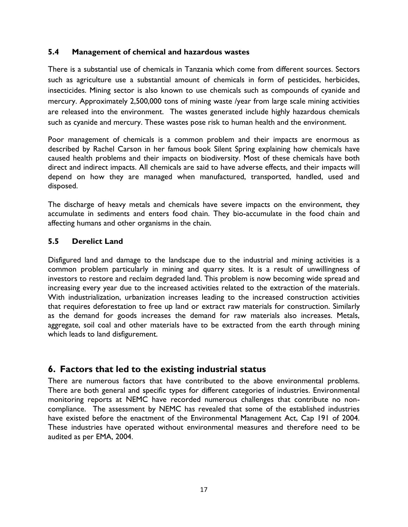#### **5.4 Management of chemical and hazardous wastes**

There is a substantial use of chemicals in Tanzania which come from different sources. Sectors such as agriculture use a substantial amount of chemicals in form of pesticides, herbicides, insecticides. Mining sector is also known to use chemicals such as compounds of cyanide and mercury. Approximately 2,500,000 tons of mining waste /year from large scale mining activities are released into the environment. The wastes generated include highly hazardous chemicals such as cyanide and mercury. These wastes pose risk to human health and the environment.

Poor management of chemicals is a common problem and their impacts are enormous as described by Rachel Carson in her famous book Silent Spring explaining how chemicals have caused health problems and their impacts on biodiversity. Most of these chemicals have both direct and indirect impacts. All chemicals are said to have adverse effects, and their impacts will depend on how they are managed when manufactured, transported, handled, used and disposed.

The discharge of heavy metals and chemicals have severe impacts on the environment, they accumulate in sediments and enters food chain. They bio-accumulate in the food chain and affecting humans and other organisms in the chain.

#### **5.5 Derelict Land**

Disfigured land and damage to the landscape due to the industrial and mining activities is a common problem particularly in mining and quarry sites. It is a result of unwillingness of investors to restore and reclaim degraded land. This problem is now becoming wide spread and increasing every year due to the increased activities related to the extraction of the materials. With industrialization, urbanization increases leading to the increased construction activities that requires deforestation to free up land or extract raw materials for construction. Similarly as the demand for goods increases the demand for raw materials also increases. Metals, aggregate, soil coal and other materials have to be extracted from the earth through mining which leads to land disfigurement.

### <span id="page-17-0"></span>**6. Factors that led to the existing industrial status**

There are numerous factors that have contributed to the above environmental problems. There are both general and specific types for different categories of industries. Environmental monitoring reports at NEMC have recorded numerous challenges that contribute no noncompliance. The assessment by NEMC has revealed that some of the established industries have existed before the enactment of the Environmental Management Act, Cap 191 of 2004. These industries have operated without environmental measures and therefore need to be audited as per EMA, 2004.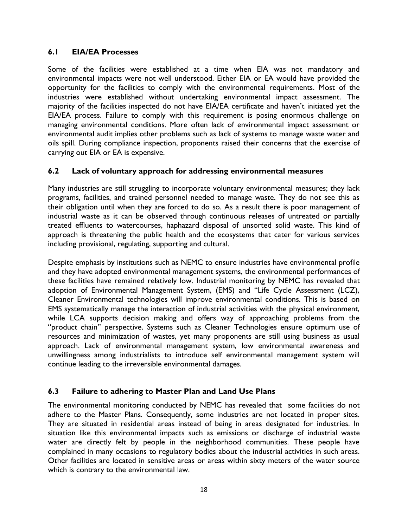#### **6.1 EIA/EA Processes**

Some of the facilities were established at a time when EIA was not mandatory and environmental impacts were not well understood. Either EIA or EA would have provided the opportunity for the facilities to comply with the environmental requirements. Most of the industries were established without undertaking environmental impact assessment. The majority of the facilities inspected do not have EIA/EA certificate and haven't initiated yet the EIA/EA process. Failure to comply with this requirement is posing enormous challenge on managing environmental conditions. More often lack of environmental impact assessment or environmental audit implies other problems such as lack of systems to manage waste water and oils spill. During compliance inspection, proponents raised their concerns that the exercise of carrying out EIA or EA is expensive.

#### **6.2 Lack of voluntary approach for addressing environmental measures**

Many industries are still struggling to incorporate voluntary environmental measures; they lack programs, facilities, and trained personnel needed to manage waste. They do not see this as their obligation until when they are forced to do so. As a result there is poor management of industrial waste as it can be observed through continuous releases of untreated or partially treated effluents to watercourses, haphazard disposal of unsorted solid waste. This kind of approach is threatening the public health and the ecosystems that cater for various services including provisional, regulating, supporting and cultural.

Despite emphasis by institutions such as NEMC to ensure industries have environmental profile and they have adopted environmental management systems, the environmental performances of these facilities have remained relatively low. Industrial monitoring by NEMC has revealed that adoption of Environmental Management System, (EMS) and "Life Cycle Assessment (LCZ), Cleaner Environmental technologies will improve environmental conditions. This is based on EMS systematically manage the interaction of industrial activities with the physical environment, while LCA supports decision making and offers way of approaching problems from the "product chain" perspective. Systems such as Cleaner Technologies ensure optimum use of resources and minimization of wastes, yet many proponents are still using business as usual approach. Lack of environmental management system, low environmental awareness and unwillingness among industrialists to introduce self environmental management system will continue leading to the irreversible environmental damages.

#### **6.3 Failure to adhering to Master Plan and Land Use Plans**

The environmental monitoring conducted by NEMC has revealed that some facilities do not adhere to the Master Plans. Consequently, some industries are not located in proper sites. They are situated in residential areas instead of being in areas designated for industries. In situation like this environmental impacts such as emissions or discharge of industrial waste water are directly felt by people in the neighborhood communities. These people have complained in many occasions to regulatory bodies about the industrial activities in such areas. Other facilities are located in sensitive areas or areas within sixty meters of the water source which is contrary to the environmental law.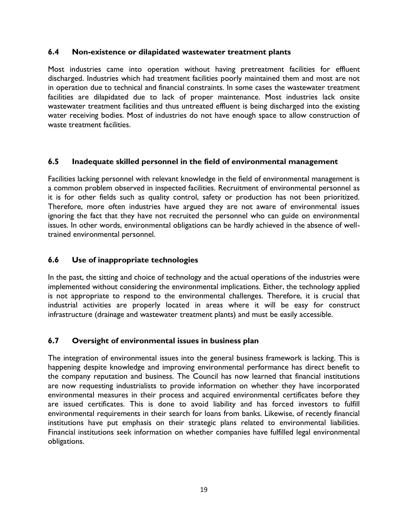#### **6.4 Non-existence or dilapidated wastewater treatment plants**

Most industries came into operation without having pretreatment facilities for effluent discharged. Industries which had treatment facilities poorly maintained them and most are not in operation due to technical and financial constraints. In some cases the wastewater treatment facilities are dilapidated due to lack of proper maintenance. Most industries lack onsite wastewater treatment facilities and thus untreated effluent is being discharged into the existing water receiving bodies. Most of industries do not have enough space to allow construction of waste treatment facilities.

#### **6.5 Inadequate skilled personnel in the field of environmental management**

Facilities lacking personnel with relevant knowledge in the field of environmental management is a common problem observed in inspected facilities. Recruitment of environmental personnel as it is for other fields such as quality control, safety or production has not been prioritized. Therefore, more often industries have argued they are not aware of environmental issues ignoring the fact that they have not recruited the personnel who can guide on environmental issues. In other words, environmental obligations can be hardly achieved in the absence of welltrained environmental personnel.

### **6.6 Use of inappropriate technologies**

In the past, the sitting and choice of technology and the actual operations of the industries were implemented without considering the environmental implications. Either, the technology applied is not appropriate to respond to the environmental challenges. Therefore, it is crucial that industrial activities are properly located in areas where it will be easy for construct infrastructure (drainage and wastewater treatment plants) and must be easily accessible.

#### **6.7 Oversight of environmental issues in business plan**

The integration of environmental issues into the general business framework is lacking. This is happening despite knowledge and improving environmental performance has direct benefit to the company reputation and business. The Council has now learned that financial institutions are now requesting industrialists to provide information on whether they have incorporated environmental measures in their process and acquired environmental certificates before they are issued certificates. This is done to avoid liability and has forced investors to fulfill environmental requirements in their search for loans from banks. Likewise, of recently financial institutions have put emphasis on their strategic plans related to environmental liabilities. Financial institutions seek information on whether companies have fulfilled legal environmental obligations.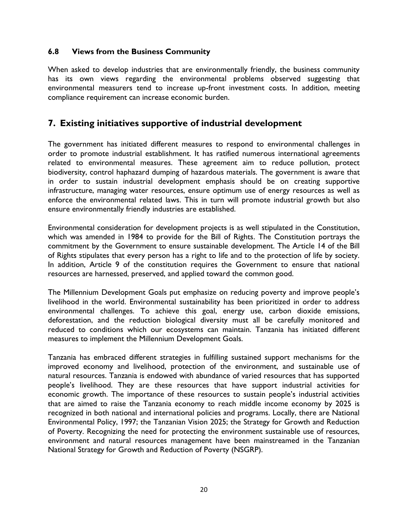#### **6.8 Views from the Business Community**

When asked to develop industries that are environmentally friendly, the business community has its own views regarding the environmental problems observed suggesting that environmental measurers tend to increase up-front investment costs. In addition, meeting compliance requirement can increase economic burden.

### <span id="page-20-0"></span>**7. Existing initiatives supportive of industrial development**

The government has initiated different measures to respond to environmental challenges in order to promote industrial establishment. It has ratified numerous international agreements related to environmental measures. These agreement aim to reduce pollution, protect biodiversity, control haphazard dumping of hazardous materials. The government is aware that in order to sustain industrial development emphasis should be on creating supportive infrastructure, managing water resources, ensure optimum use of energy resources as well as enforce the environmental related laws. This in turn will promote industrial growth but also ensure environmentally friendly industries are established.

Environmental consideration for development projects is as well stipulated in the Constitution, which was amended in 1984 to provide for the Bill of Rights. The Constitution portrays the commitment by the Government to ensure sustainable development. The Article 14 of the Bill of Rights stipulates that every person has a right to life and to the protection of life by society. In addition, Article 9 of the constitution requires the Government to ensure that national resources are harnessed, preserved, and applied toward the common good.

The Millennium Development Goals put emphasize on reducing poverty and improve people's livelihood in the world. Environmental sustainability has been prioritized in order to address environmental challenges. To achieve this goal, energy use, carbon dioxide emissions, deforestation, and the reduction biological diversity must all be carefully monitored and reduced to conditions which our ecosystems can maintain. Tanzania has initiated different measures to implement the Millennium Development Goals.

Tanzania has embraced different strategies in fulfilling sustained support mechanisms for the improved economy and livelihood, protection of the environment, and sustainable use of natural resources. Tanzania is endowed with abundance of varied resources that has supported people's livelihood. They are these resources that have support industrial activities for economic growth. The importance of these resources to sustain people's industrial activities that are aimed to raise the Tanzania economy to reach middle income economy by 2025 is recognized in both national and international policies and programs. Locally, there are National Environmental Policy, 1997; the Tanzanian Vision 2025; the Strategy for Growth and Reduction of Poverty. Recognizing the need for protecting the environment sustainable use of resources, environment and natural resources management have been mainstreamed in the Tanzanian National Strategy for Growth and Reduction of Poverty (NSGRP).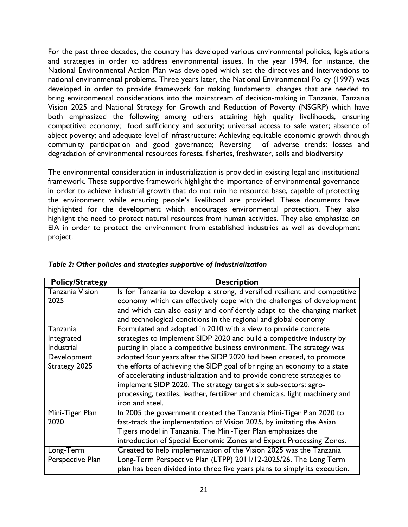For the past three decades, the country has developed various environmental policies, legislations and strategies in order to address environmental issues. In the year 1994, for instance, the National Environmental Action Plan was developed which set the directives and interventions to national environmental problems. Three years later, the National Environmental Policy (1997) was developed in order to provide framework for making fundamental changes that are needed to bring environmental considerations into the mainstream of decision-making in Tanzania. Tanzania Vision 2025 and National Strategy for Growth and Reduction of Poverty (NSGRP) which have both emphasized the following among others attaining high quality livelihoods, ensuring competitive economy; food sufficiency and security; universal access to safe water; absence of abject poverty; and adequate level of infrastructure; Achieving equitable economic growth through community participation and good governance; Reversing of adverse trends: losses and degradation of environmental resources forests, fisheries, freshwater, soils and biodiversity

The environmental consideration in industrialization is provided in existing legal and institutional framework. These supportive framework highlight the importance of environmental governance in order to achieve industrial growth that do not ruin he resource base, capable of protecting the environment while ensuring people's livelihood are provided. These documents have highlighted for the development which encourages environmental protection. They also highlight the need to protect natural resources from human activities. They also emphasize on EIA in order to protect the environment from established industries as well as development project.

| <b>Policy/Strategy</b> | <b>Description</b>                                                           |
|------------------------|------------------------------------------------------------------------------|
| <b>Tanzania Vision</b> | Is for Tanzania to develop a strong, diversified resilient and competitive   |
| 2025                   | economy which can effectively cope with the challenges of development        |
|                        | and which can also easily and confidently adapt to the changing market       |
|                        | and technological conditions in the regional and global economy              |
| Tanzania               | Formulated and adopted in 2010 with a view to provide concrete               |
| Integrated             | strategies to implement SIDP 2020 and build a competitive industry by        |
| Industrial             | putting in place a competitive business environment. The strategy was        |
| Development            | adopted four years after the SIDP 2020 had been created, to promote          |
| Strategy 2025          | the efforts of achieving the SIDP goal of bringing an economy to a state     |
|                        | of accelerating industrialization and to provide concrete strategies to      |
|                        | implement SIDP 2020. The strategy target six sub-sectors: agro-              |
|                        | processing, textiles, leather, fertilizer and chemicals, light machinery and |
|                        | iron and steel.                                                              |
| Mini-Tiger Plan        | In 2005 the government created the Tanzania Mini-Tiger Plan 2020 to          |
| 2020                   | fast-track the implementation of Vision 2025, by imitating the Asian         |
|                        | Tigers model in Tanzania. The Mini-Tiger Plan emphasizes the                 |
|                        | introduction of Special Economic Zones and Export Processing Zones.          |
| Long-Term              | Created to help implementation of the Vision 2025 was the Tanzania           |
| Perspective Plan       | Long-Term Perspective Plan (LTPP) 2011/12-2025/26. The Long Term             |
|                        | plan has been divided into three five years plans to simply its execution.   |

|  |  |  |  | Table 2: Other policies and strategies supportive of Industrialization |
|--|--|--|--|------------------------------------------------------------------------|
|--|--|--|--|------------------------------------------------------------------------|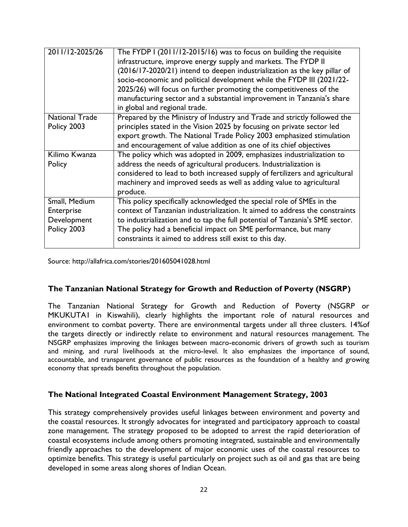| 2011/12-2025/26                                           | The FYDP I (2011/12-2015/16) was to focus on building the requisite<br>infrastructure, improve energy supply and markets. The FYDP II<br>(2016/17-2020/21) intend to deepen industrialization as the key pillar of<br>socio-economic and political development while the FYDP III (2021/22-<br>2025/26) will focus on further promoting the competitiveness of the<br>manufacturing sector and a substantial improvement in Tanzania's share<br>in global and regional trade. |
|-----------------------------------------------------------|-------------------------------------------------------------------------------------------------------------------------------------------------------------------------------------------------------------------------------------------------------------------------------------------------------------------------------------------------------------------------------------------------------------------------------------------------------------------------------|
| <b>National Trade</b><br>Policy 2003                      | Prepared by the Ministry of Industry and Trade and strictly followed the<br>principles stated in the Vision 2025 by focusing on private sector led<br>export growth. The National Trade Policy 2003 emphasized stimulation<br>and encouragement of value addition as one of its chief objectives                                                                                                                                                                              |
| Kilimo Kwanza<br>Policy                                   | The policy which was adopted in 2009, emphasizes industrialization to<br>address the needs of agricultural producers. Industrialization is<br>considered to lead to both increased supply of fertilizers and agricultural<br>machinery and improved seeds as well as adding value to agricultural<br>produce.                                                                                                                                                                 |
| Small, Medium<br>Enterprise<br>Development<br>Policy 2003 | This policy specifically acknowledged the special role of SMEs in the<br>context of Tanzanian industrialization. It aimed to address the constraints<br>to industrialization and to tap the full potential of Tanzania's SME sector.<br>The policy had a beneficial impact on SME performance, but many<br>constraints it aimed to address still exist to this day.                                                                                                           |

Source: http://allafrica.com/stories/201605041028.html

#### **The Tanzanian National Strategy for Growth and Reduction of Poverty (NSGRP)**

The Tanzanian National Strategy for Growth and Reduction of Poverty (NSGRP or MKUKUTA1 in Kiswahili), clearly highlights the important role of natural resources and environment to combat poverty. There are environmental targets under all three clusters. 14%of the targets directly or indirectly relate to environment and natural resources management. The NSGRP emphasizes improving the linkages between macro-economic drivers of growth such as tourism and mining, and rural livelihoods at the micro-level. It also emphasizes the importance of sound, accountable, and transparent governance of public resources as the foundation of a healthy and growing economy that spreads benefits throughout the population.

#### **The National Integrated Coastal Environment Management Strategy, 2003**

This strategy comprehensively provides useful linkages between environment and poverty and the coastal resources. It strongly advocates for integrated and participatory approach to coastal zone management. The strategy proposed to be adopted to arrest the rapid deterioration of coastal ecosystems include among others promoting integrated, sustainable and environmentally friendly approaches to the development of major economic uses of the coastal resources to optimize benefits. This strategy is useful particularly on project such as oil and gas that are being developed in some areas along shores of Indian Ocean.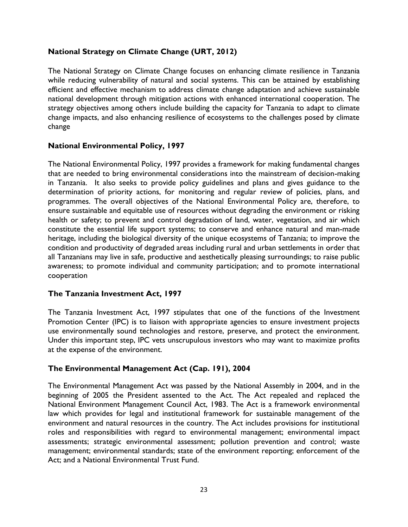### **National Strategy on Climate Change (URT, 2012)**

The National Strategy on Climate Change focuses on enhancing climate resilience in Tanzania while reducing vulnerability of natural and social systems. This can be attained by establishing efficient and effective mechanism to address climate change adaptation and achieve sustainable national development through mitigation actions with enhanced international cooperation. The strategy objectives among others include building the capacity for Tanzania to adapt to climate change impacts, and also enhancing resilience of ecosystems to the challenges posed by climate change

#### **National Environmental Policy, 1997**

The National Environmental Policy, 1997 provides a framework for making fundamental changes that are needed to bring environmental considerations into the mainstream of decision-making in Tanzania. It also seeks to provide policy guidelines and plans and gives guidance to the determination of priority actions, for monitoring and regular review of policies, plans, and programmes. The overall objectives of the National Environmental Policy are, therefore, to ensure sustainable and equitable use of resources without degrading the environment or risking health or safety; to prevent and control degradation of land, water, vegetation, and air which constitute the essential life support systems; to conserve and enhance natural and man-made heritage, including the biological diversity of the unique ecosystems of Tanzania; to improve the condition and productivity of degraded areas including rural and urban settlements in order that all Tanzanians may live in safe, productive and aesthetically pleasing surroundings; to raise public awareness; to promote individual and community participation; and to promote international cooperation

#### **The Tanzania Investment Act, 1997**

The Tanzania Investment Act, 1997 stipulates that one of the functions of the Investment Promotion Center (IPC) is to liaison with appropriate agencies to ensure investment projects use environmentally sound technologies and restore, preserve, and protect the environment. Under this important step, IPC vets unscrupulous investors who may want to maximize profits at the expense of the environment.

#### **The Environmental Management Act (Cap. 191), 2004**

The Environmental Management Act was passed by the National Assembly in 2004, and in the beginning of 2005 the President assented to the Act. The Act repealed and replaced the National Environment Management Council Act, 1983. The Act is a framework environmental law which provides for legal and institutional framework for sustainable management of the environment and natural resources in the country. The Act includes provisions for institutional roles and responsibilities with regard to environmental management; environmental impact assessments; strategic environmental assessment; pollution prevention and control; waste management; environmental standards; state of the environment reporting; enforcement of the Act; and a National Environmental Trust Fund.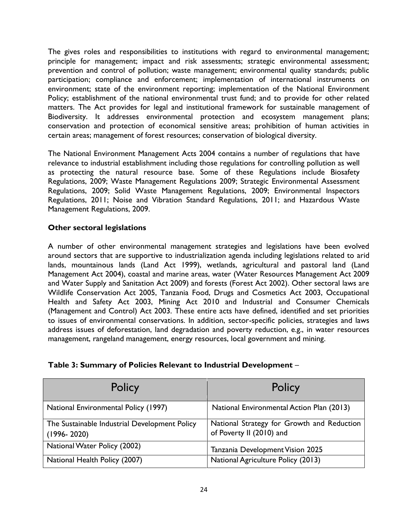The gives roles and responsibilities to institutions with regard to environmental management; principle for management; impact and risk assessments; strategic environmental assessment; prevention and control of pollution; waste management; environmental quality standards; public participation; compliance and enforcement; implementation of international instruments on environment; state of the environment reporting; implementation of the National Environment Policy; establishment of the national environmental trust fund; and to provide for other related matters. The Act provides for legal and institutional framework for sustainable management of Biodiversity. It addresses environmental protection and ecosystem management plans; conservation and protection of economical sensitive areas; prohibition of human activities in certain areas; management of forest resources; conservation of biological diversity.

The National Environment Management Acts 2004 contains a number of regulations that have relevance to industrial establishment including those regulations for controlling pollution as well as protecting the natural resource base. Some of these Regulations include Biosafety Regulations, 2009; Waste Management Regulations 2009; Strategic Environmental Assessment Regulations, 2009; Solid Waste Management Regulations, 2009; Environmental Inspectors Regulations, 2011; Noise and Vibration Standard Regulations, 2011; and Hazardous Waste Management Regulations, 2009.

### **Other sectoral legislations**

A number of other environmental management strategies and legislations have been evolved around sectors that are supportive to industrialization agenda including legislations related to arid lands, mountainous lands (Land Act 1999), wetlands, agricultural and pastoral land (Land Management Act 2004), coastal and marine areas, water (Water Resources Management Act 2009 and Water Supply and Sanitation Act 2009) and forests (Forest Act 2002). Other sectoral laws are Wildlife Conservation Act 2005, Tanzania Food, Drugs and Cosmetics Act 2003, Occupational Health and Safety Act 2003, Mining Act 2010 and Industrial and Consumer Chemicals (Management and Control) Act 2003. These entire acts have defined, identified and set priorities to issues of environmental conservations. In addition, sector-specific policies, strategies and laws address issues of deforestation, land degradation and poverty reduction, e.g., in water resources management, rangeland management, energy resources, local government and mining.

| Policy                                                           | Policy                                                                 |
|------------------------------------------------------------------|------------------------------------------------------------------------|
| National Environmental Policy (1997)                             | National Environmental Action Plan (2013)                              |
| The Sustainable Industrial Development Policy<br>$(1996 - 2020)$ | National Strategy for Growth and Reduction<br>of Poverty II (2010) and |
| National Water Policy (2002)                                     | Tanzania Development Vision 2025                                       |
| National Health Policy (2007)                                    | National Agriculture Policy (2013)                                     |

#### **Table 3: Summary of Policies Relevant to Industrial Development** –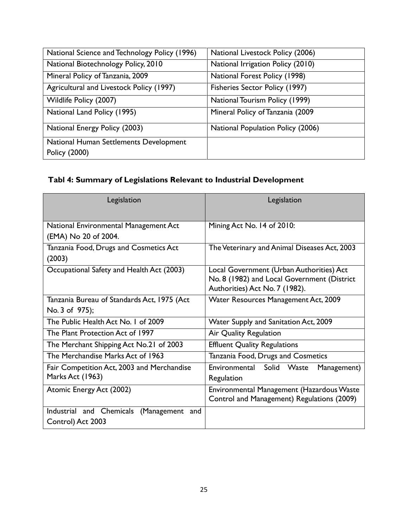| National Science and Technology Policy (1996)           | National Livestock Policy (2006)  |
|---------------------------------------------------------|-----------------------------------|
| National Biotechnology Policy, 2010                     | National Irrigation Policy (2010) |
| Mineral Policy of Tanzania, 2009                        | National Forest Policy (1998)     |
| Agricultural and Livestock Policy (1997)                | Fisheries Sector Policy (1997)    |
| Wildlife Policy (2007)                                  | National Tourism Policy (1999)    |
| National Land Policy (1995)                             | Mineral Policy of Tanzania (2009) |
| National Energy Policy (2003)                           | National Population Policy (2006) |
| National Human Settlements Development<br>Policy (2000) |                                   |

# **Tabl 4: Summary of Legislations Relevant to Industrial Development**

| Legislation                                 | Legislation                                  |
|---------------------------------------------|----------------------------------------------|
| National Environmental Management Act       | Mining Act No. 14 of 2010:                   |
| (EMA) No 20 of 2004.                        |                                              |
| Tanzania Food, Drugs and Cosmetics Act      | The Veterinary and Animal Diseases Act, 2003 |
| (2003)                                      |                                              |
| Occupational Safety and Health Act (2003)   | Local Government (Urban Authorities) Act     |
|                                             | No. 8 (1982) and Local Government (District  |
|                                             | Authorities) Act No. 7 (1982).               |
| Tanzania Bureau of Standards Act, 1975 (Act | Water Resources Management Act, 2009         |
| No. 3 of 975);                              |                                              |
| The Public Health Act No. 1 of 2009         | Water Supply and Sanitation Act, 2009        |
| The Plant Protection Act of 1997            | Air Quality Regulation                       |
| The Merchant Shipping Act No.21 of 2003     | <b>Effluent Quality Regulations</b>          |
| The Merchandise Marks Act of 1963           | Tanzania Food, Drugs and Cosmetics           |
| Fair Competition Act, 2003 and Merchandise  | Environmental Solid Waste<br>Management)     |
| Marks Act (1963)                            | Regulation                                   |
| Atomic Energy Act (2002)                    | Environmental Management (Hazardous Waste    |
|                                             | Control and Management) Regulations (2009)   |
| Industrial and Chemicals (Management<br>and |                                              |
| Control) Act 2003                           |                                              |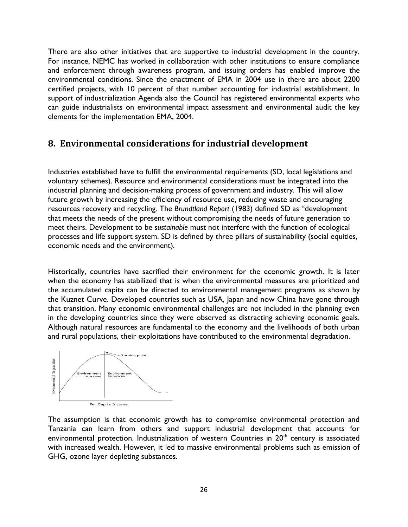There are also other initiatives that are supportive to industrial development in the country. For instance, NEMC has worked in collaboration with other institutions to ensure compliance and enforcement through awareness program, and issuing orders has enabled improve the environmental conditions. Since the enactment of EMA in 2004 use in there are about 2200 certified projects, with 10 percent of that number accounting for industrial establishment. In support of industrialization Agenda also the Council has registered environmental experts who can guide industrialists on environmental impact assessment and environmental audit the key elements for the implementation EMA, 2004.

## <span id="page-26-0"></span>**8. Environmental considerations for industrial development**

Industries established have to fulfill the environmental requirements (SD, local legislations and voluntary schemes). Resource and environmental considerations must be integrated into the industrial planning and decision-making process of government and industry. This will allow future growth by increasing the efficiency of resource use, reducing waste and encouraging resources recovery and recycling. The *Brundtland Report* (1983) defined SD as "development that meets the needs of the present without compromising the needs of future generation to meet theirs. Development to be *sustainable* must not interfere with the function of ecological processes and life support system. SD is defined by three pillars of sustainability (social equities, economic needs and the environment).

Historically, countries have sacrified their environment for the economic growth. It is later when the economy has stabilized that is when the environmental measures are prioritized and the accumulated capita can be directed to environmental management programs as shown by the Kuznet Curve. Developed countries such as USA, Japan and now China have gone through that transition. Many economic environmental challenges are not included in the planning even in the developing countries since they were observed as distracting achieving economic goals. Although natural resources are fundamental to the economy and the livelihoods of both urban and rural populations, their exploitations have contributed to the environmental degradation.



The assumption is that economic growth has to compromise environmental protection and Tanzania can learn from others and support industrial development that accounts for environmental protection. Industrialization of western Countries in 20<sup>th</sup> century is associated with increased wealth. However, it led to massive environmental problems such as emission of GHG, ozone layer depleting substances.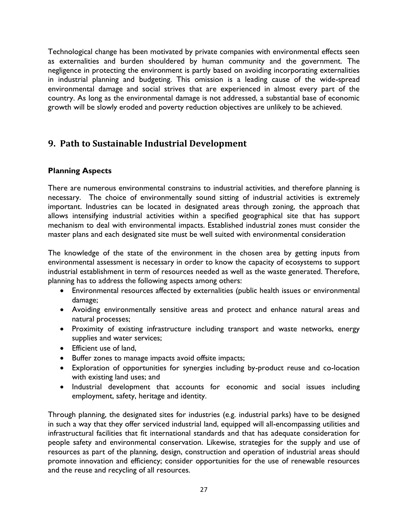Technological change has been motivated by private companies with environmental effects seen as externalities and burden shouldered by human community and the government. The negligence in protecting the environment is partly based on avoiding incorporating externalities in industrial planning and budgeting. This omission is a leading cause of the wide-spread environmental damage and social strives that are experienced in almost every part of the country. As long as the environmental damage is not addressed, a substantial base of economic growth will be slowly eroded and poverty reduction objectives are unlikely to be achieved.

# <span id="page-27-0"></span>**9. Path to Sustainable Industrial Development**

### **Planning Aspects**

There are numerous environmental constrains to industrial activities, and therefore planning is necessary. The choice of environmentally sound sitting of industrial activities is extremely important. Industries can be located in designated areas through zoning, the approach that allows intensifying industrial activities within a specified geographical site that has support mechanism to deal with environmental impacts. Established industrial zones must consider the master plans and each designated site must be well suited with environmental consideration

The knowledge of the state of the environment in the chosen area by getting inputs from environmental assessment is necessary in order to know the capacity of ecosystems to support industrial establishment in term of resources needed as well as the waste generated. Therefore, planning has to address the following aspects among others:

- Environmental resources affected by externalities (public health issues or environmental damage;
- Avoiding environmentally sensitive areas and protect and enhance natural areas and natural processes;
- Proximity of existing infrastructure including transport and waste networks, energy supplies and water services;
- Efficient use of land,
- Buffer zones to manage impacts avoid offsite impacts;
- Exploration of opportunities for synergies including by-product reuse and co-location with existing land uses; and
- Industrial development that accounts for economic and social issues including employment, safety, heritage and identity.

Through planning, the designated sites for industries (e.g. industrial parks) have to be designed in such a way that they offer serviced industrial land, equipped will all-encompassing utilities and infrastructural facilities that fit international standards and that has adequate consideration for people safety and environmental conservation. Likewise, strategies for the supply and use of resources as part of the planning, design, construction and operation of industrial areas should promote innovation and efficiency; consider opportunities for the use of renewable resources and the reuse and recycling of all resources.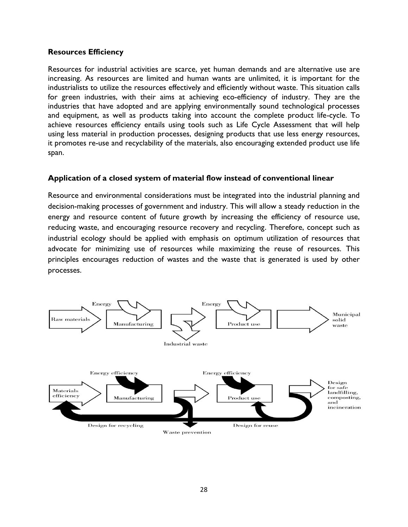#### **Resources Efficiency**

Resources for industrial activities are scarce, yet human demands and are alternative use are increasing. As resources are limited and human wants are unlimited, it is important for the industrialists to utilize the resources effectively and efficiently without waste. This situation calls for green industries, with their aims at achieving eco-efficiency of industry. They are the industries that have adopted and are applying environmentally sound technological processes and equipment, as well as products taking into account the complete product life-cycle. To achieve resources efficiency entails using tools such as Life Cycle Assessment that will help using less material in production processes, designing products that use less energy resources, it promotes re-use and recyclability of the materials, also encouraging extended product use life span.

#### **Application of a closed system of material flow instead of conventional linear**

Resource and environmental considerations must be integrated into the industrial planning and decision-making processes of government and industry. This will allow a steady reduction in the energy and resource content of future growth by increasing the efficiency of resource use, reducing waste, and encouraging resource recovery and recycling. Therefore, concept such as industrial ecology should be applied with emphasis on optimum utilization of resources that advocate for minimizing use of resources while maximizing the reuse of resources. This principles encourages reduction of wastes and the waste that is generated is used by other processes.

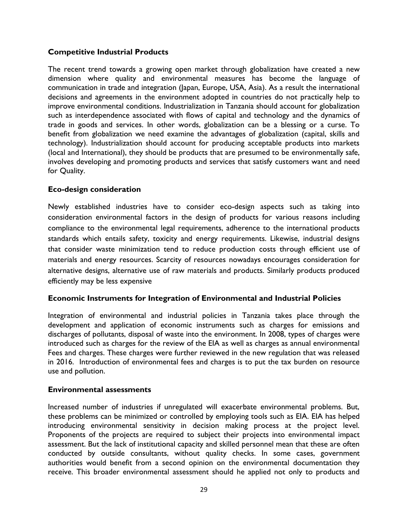#### **Competitive Industrial Products**

The recent trend towards a growing open market through globalization have created a new dimension where quality and environmental measures has become the language of communication in trade and integration (Japan, Europe, USA, Asia). As a result the international decisions and agreements in the environment adopted in countries do not practically help to improve environmental conditions. Industrialization in Tanzania should account for globalization such as interdependence associated with flows of capital and technology and the dynamics of trade in goods and services. In other words, globalization can be a blessing or a curse. To benefit from globalization we need examine the advantages of globalization (capital, skills and technology). Industrialization should account for producing acceptable products into markets (local and International), they should be products that are presumed to be environmentally safe, involves developing and promoting products and services that satisfy customers want and need for Quality.

#### **Eco-design consideration**

Newly established industries have to consider eco-design aspects such as taking into consideration environmental factors in the design of products for various reasons including compliance to the environmental legal requirements, adherence to the international products standards which entails safety, toxicity and energy requirements. Likewise, industrial designs that consider waste minimization tend to reduce production costs through efficient use of materials and energy resources. Scarcity of resources nowadays encourages consideration for alternative designs, alternative use of raw materials and products. Similarly products produced efficiently may be less expensive

#### **Economic Instruments for Integration of Environmental and Industrial Policies**

Integration of environmental and industrial policies in Tanzania takes place through the development and application of economic instruments such as charges for emissions and discharges of pollutants, disposal of waste into the environment. In 2008, types of charges were introduced such as charges for the review of the EIA as well as charges as annual environmental Fees and charges. These charges were further reviewed in the new regulation that was released in 2016. Introduction of environmental fees and charges is to put the tax burden on resource use and pollution.

#### **Environmental assessments**

Increased number of industries if unregulated will exacerbate environmental problems. But, these problems can be minimized or controlled by employing tools such as EIA. EIA has helped introducing environmental sensitivity in decision making process at the project level. Proponents of the projects are required to subject their projects into environmental impact assessment. But the lack of institutional capacity and skilled personnel mean that these are often conducted by outside consultants, without quality checks. In some cases, government authorities would benefit from a second opinion on the environmental documentation they receive. This broader environmental assessment should he applied not only to products and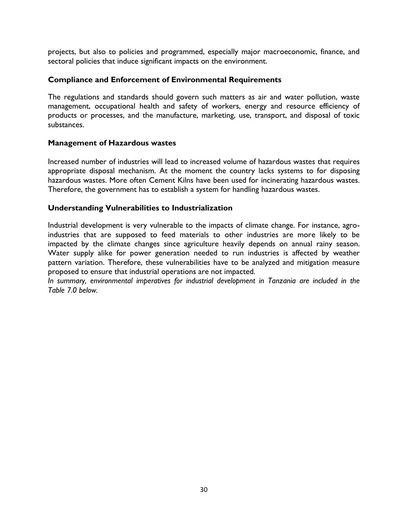projects, but also to policies and programmed, especially major macroeconomic, finance, and sectoral policies that induce significant impacts on the environment.

#### **Compliance and Enforcement of Environmental Requirements**

The regulations and standards should govern such matters as air and water pollution, waste management, occupational health and safety of workers, energy and resource efficiency of products or processes, and the manufacture, marketing, use, transport, and disposal of toxic substances.

#### **Management of Hazardous wastes**

Increased number of industries will lead to increased volume of hazardous wastes that requires appropriate disposal mechanism. At the moment the country lacks systems to for disposing hazardous wastes. More often Cement Kilns have been used for incinerating hazardous wastes. Therefore, the government has to establish a system for handling hazardous wastes.

#### **Understanding Vulnerabilities to Industrialization**

Industrial development is very vulnerable to the impacts of climate change. For instance, agroindustries that are supposed to feed materials to other industries are more likely to be impacted by the climate changes since agriculture heavily depends on annual rainy season. Water supply alike for power generation needed to run industries is affected by weather pattern variation. Therefore, these vulnerabilities have to be analyzed and mitigation measure proposed to ensure that industrial operations are not impacted.

*In summary, environmental imperatives for industrial development in Tanzania are included in the Table 7.0 below.*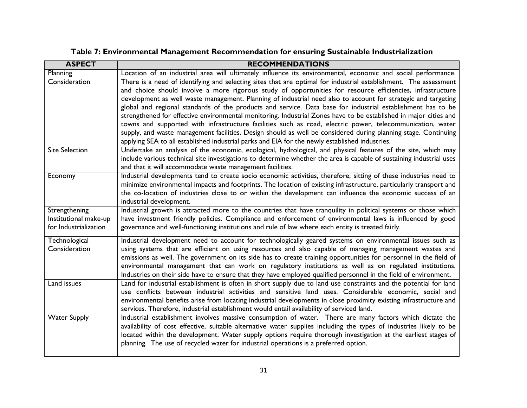| <b>ASPECT</b>         | <b>RECOMMENDATIONS</b>                                                                                               |
|-----------------------|----------------------------------------------------------------------------------------------------------------------|
| Planning              | Location of an industrial area will ultimately influence its environmental, economic and social performance.         |
| Consideration         | There is a need of identifying and selecting sites that are optimal for industrial establishment. The assessment     |
|                       | and choice should involve a more rigorous study of opportunities for resource efficiencies, infrastructure           |
|                       | development as well waste management. Planning of industrial need also to account for strategic and targeting        |
|                       | global and regional standards of the products and service. Data base for industrial establishment has to be          |
|                       | strengthened for effective environmental monitoring. Industrial Zones have to be established in major cities and     |
|                       | towns and supported with infrastructure facilities such as road, electric power, telecommunication, water            |
|                       | supply, and waste management facilities. Design should as well be considered during planning stage. Continuing       |
|                       | applying SEA to all established industrial parks and EIA for the newly established industries.                       |
| <b>Site Selection</b> | Undertake an analysis of the economic, ecological, hydrological, and physical features of the site, which may        |
|                       | include various technical site investigations to determine whether the area is capable of sustaining industrial uses |
|                       | and that it will accommodate waste management facilities.                                                            |
| Economy               | Industrial developments tend to create socio economic activities, therefore, sitting of these industries need to     |
|                       | minimize environmental impacts and footprints. The location of existing infrastructure, particularly transport and   |
|                       | the co-location of industries close to or within the development can influence the economic success of an            |
|                       | industrial development.                                                                                              |
| Strengthening         | Industrial growth is attracted more to the countries that have tranquility in political systems or those which       |
| Institutional make-up | have investment friendly policies. Compliance and enforcement of environmental laws is influenced by good            |
| for Industrialization | governance and well-functioning institutions and rule of law where each entity is treated fairly.                    |
| Technological         | Industrial development need to account for technologically geared systems on environmental issues such as            |
| Consideration         | using systems that are efficient on using resources and also capable of managing management wastes and               |
|                       | emissions as well. The government on its side has to create training opportunities for personnel in the field of     |
|                       | environmental management that can work on regulatory institutions as well as on regulated institutions.              |
|                       | Industries on their side have to ensure that they have employed qualified personnel in the field of environment.     |
| Land issues           | Land for industrial establishment is often in short supply due to land use constraints and the potential for land    |
|                       | use conflicts between industrial activities and sensitive land uses. Considerable economic, social and               |
|                       | environmental benefits arise from locating industrial developments in close proximity existing infrastructure and    |
|                       | services. Therefore, industrial establishment would entail availability of serviced land.                            |
| <b>Water Supply</b>   | Industrial establishment involves massive consumption of water. There are many factors which dictate the             |
|                       | availability of cost effective, suitable alternative water supplies including the types of industries likely to be   |
|                       | located within the development. Water supply options require thorough investigation at the earliest stages of        |
|                       | planning. The use of recycled water for industrial operations is a preferred option.                                 |
|                       |                                                                                                                      |

# **Table 7: Environmental Management Recommendation for ensuring Sustainable Industrialization**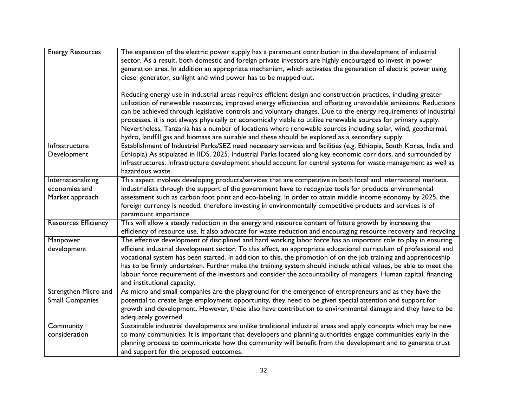| <b>Energy Resources</b>                                                                                   | The expansion of the electric power supply has a paramount contribution in the development of industrial                                                                                                                                                                                                                                                                                                                                                                   |  |  |
|-----------------------------------------------------------------------------------------------------------|----------------------------------------------------------------------------------------------------------------------------------------------------------------------------------------------------------------------------------------------------------------------------------------------------------------------------------------------------------------------------------------------------------------------------------------------------------------------------|--|--|
|                                                                                                           | sector. As a result, both domestic and foreign private investors are highly encouraged to invest in power                                                                                                                                                                                                                                                                                                                                                                  |  |  |
|                                                                                                           | generation area. In addition an appropriate mechanism, which activates the generation of electric power using                                                                                                                                                                                                                                                                                                                                                              |  |  |
|                                                                                                           | diesel generator, sunlight and wind power has to be mapped out.                                                                                                                                                                                                                                                                                                                                                                                                            |  |  |
|                                                                                                           |                                                                                                                                                                                                                                                                                                                                                                                                                                                                            |  |  |
|                                                                                                           | Reducing energy use in industrial areas requires efficient design and construction practices, including greater<br>utilization of renewable resources, improved energy efficiencies and offsetting unavoidable emissions. Reductions<br>can be achieved through legislative controls and voluntary changes. Due to the energy requirements of industrial<br>processes, it is not always physically or economically viable to utilize renewable sources for primary supply. |  |  |
|                                                                                                           |                                                                                                                                                                                                                                                                                                                                                                                                                                                                            |  |  |
|                                                                                                           |                                                                                                                                                                                                                                                                                                                                                                                                                                                                            |  |  |
|                                                                                                           |                                                                                                                                                                                                                                                                                                                                                                                                                                                                            |  |  |
|                                                                                                           | Nevertheless, Tanzania has a number of locations where renewable sources including solar, wind, geothermal,                                                                                                                                                                                                                                                                                                                                                                |  |  |
|                                                                                                           | hydro, landfill gas and biomass are suitable and these should be explored as a secondary supply.                                                                                                                                                                                                                                                                                                                                                                           |  |  |
| Infrastructure                                                                                            | Establishment of Industrial Parks/SEZ need necessary services and facilities (e.g. Ethiopia, South Korea, India and                                                                                                                                                                                                                                                                                                                                                        |  |  |
| Development                                                                                               | Ethiopia) As stipulated in IIDS, 2025. Industrial Parks located along key economic corridors, and surrounded by                                                                                                                                                                                                                                                                                                                                                            |  |  |
|                                                                                                           | infrastructures. Infrastructure development should account for central systems for waste management as well as                                                                                                                                                                                                                                                                                                                                                             |  |  |
|                                                                                                           | hazardous waste.                                                                                                                                                                                                                                                                                                                                                                                                                                                           |  |  |
| Internationalizing                                                                                        | This aspect involves developing products/services that are competitive in both local and international markets.                                                                                                                                                                                                                                                                                                                                                            |  |  |
| economies and                                                                                             | Industrialists through the support of the government have to recognize tools for products environmental                                                                                                                                                                                                                                                                                                                                                                    |  |  |
| Market approach                                                                                           | assessment such as carbon foot print and eco-labeling. In order to attain middle income economy by 2025, the                                                                                                                                                                                                                                                                                                                                                               |  |  |
|                                                                                                           | foreign currency is needed, therefore investing in environmentally competitive products and services is of                                                                                                                                                                                                                                                                                                                                                                 |  |  |
|                                                                                                           | paramount importance.                                                                                                                                                                                                                                                                                                                                                                                                                                                      |  |  |
| <b>Resources Efficiency</b>                                                                               | This will allow a steady reduction in the energy and resource content of future growth by increasing the                                                                                                                                                                                                                                                                                                                                                                   |  |  |
|                                                                                                           | efficiency of resource use. It also advocate for waste reduction and encouraging resource recovery and recycling                                                                                                                                                                                                                                                                                                                                                           |  |  |
| Manpower                                                                                                  | The effective development of disciplined and hard working labor force has an important role to play in ensuring                                                                                                                                                                                                                                                                                                                                                            |  |  |
| development                                                                                               | efficient industrial development sector. To this effect, an appropriate educational curriculum of professional and                                                                                                                                                                                                                                                                                                                                                         |  |  |
|                                                                                                           | vocational system has been started. In addition to this, the promotion of on the job training and apprenticeship                                                                                                                                                                                                                                                                                                                                                           |  |  |
|                                                                                                           | has to be firmly undertaken. Further make the training system should include ethical values, be able to meet the                                                                                                                                                                                                                                                                                                                                                           |  |  |
|                                                                                                           | labour force requirement of the investors and consider the accountability of managers. Human capital, financing                                                                                                                                                                                                                                                                                                                                                            |  |  |
|                                                                                                           | and institutional capacity.                                                                                                                                                                                                                                                                                                                                                                                                                                                |  |  |
| Strengthen Micro and                                                                                      | As micro and small companies are the playground for the emergence of entrepreneurs and as they have the                                                                                                                                                                                                                                                                                                                                                                    |  |  |
| <b>Small Companies</b>                                                                                    | potential to create large employment opportunity, they need to be given special attention and support for                                                                                                                                                                                                                                                                                                                                                                  |  |  |
| growth and development. However, these also have contribution to environmental damage and they have to be |                                                                                                                                                                                                                                                                                                                                                                                                                                                                            |  |  |
|                                                                                                           | adequately governed.                                                                                                                                                                                                                                                                                                                                                                                                                                                       |  |  |
| Community                                                                                                 | Sustainable industrial developments are unlike traditional industrial areas and apply concepts which may be new                                                                                                                                                                                                                                                                                                                                                            |  |  |
| consideration                                                                                             | to many communities. It is important that developers and planning authorities engage communities early in the<br>planning process to communicate how the community will benefit from the development and to generate trust                                                                                                                                                                                                                                                 |  |  |
|                                                                                                           |                                                                                                                                                                                                                                                                                                                                                                                                                                                                            |  |  |
|                                                                                                           | and support for the proposed outcomes.                                                                                                                                                                                                                                                                                                                                                                                                                                     |  |  |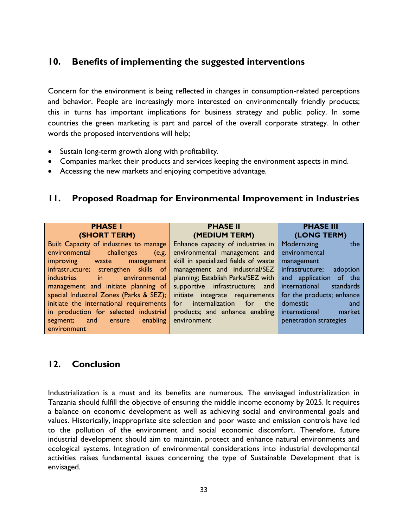## <span id="page-33-0"></span>**10. Benefits of implementing the suggested interventions**

Concern for the environment is being reflected in changes in consumption-related perceptions and behavior. People are increasingly more interested on environmentally friendly products; this in turns has important implications for business strategy and public policy. In some countries the green marketing is part and parcel of the overall corporate strategy. In other words the proposed interventions will help;

- Sustain long-term growth along with profitability.
- Companies market their products and services keeping the environment aspects in mind.
- Accessing the new markets and enjoying competitive advantage.

## <span id="page-33-1"></span>**11. Proposed Roadmap for Environmental Improvement in Industries**

| <b>PHASE I</b>                                               | <b>PHASE II</b>                              | <b>PHASE III</b>            |
|--------------------------------------------------------------|----------------------------------------------|-----------------------------|
| (SHORT TERM)                                                 | (MEDIUM TERM)                                | (LONG TERM)                 |
| Built Capacity of industries to manage                       | Enhance capacity of industries in            | Modernizing<br>the          |
| environmental<br>challenges<br>(e.g.                         | environmental management and                 | environmental               |
| improving<br>waste management                                | skill in specialized fields of waste         | management                  |
| infrastructure; strengthen skills of                         | management and industrial/SEZ                | infrastructure;<br>adoption |
| industries<br>environmental<br>$\mathbf{m}$ and $\mathbf{m}$ | planning; Establish Parks/SEZ with           | and application of the      |
| management and initiate planning of                          | supportive infrastructure; and               | international<br>standards  |
| special Industrial Zones (Parks & SEZ);                      | initiate integrate requirements              | for the products; enhance   |
| initiate the international requirements                      | for internalization<br>for<br>the <b>the</b> | domestic<br>and             |
| in production for selected industrial                        | products; and enhance enabling               | international<br>market     |
| and ensure enabling<br>segment;                              | environment                                  | penetration strategies      |
| environment                                                  |                                              |                             |

## <span id="page-33-2"></span>**12. Conclusion**

Industrialization is a must and its benefits are numerous. The envisaged industrialization in Tanzania should fulfill the objective of ensuring the middle income economy by 2025. It requires a balance on economic development as well as achieving social and environmental goals and values. Historically, inappropriate site selection and poor waste and emission controls have led to the pollution of the environment and social economic discomfort. Therefore, future industrial development should aim to maintain, protect and enhance natural environments and ecological systems. Integration of environmental considerations into industrial developmental activities raises fundamental issues concerning the type of Sustainable Development that is envisaged.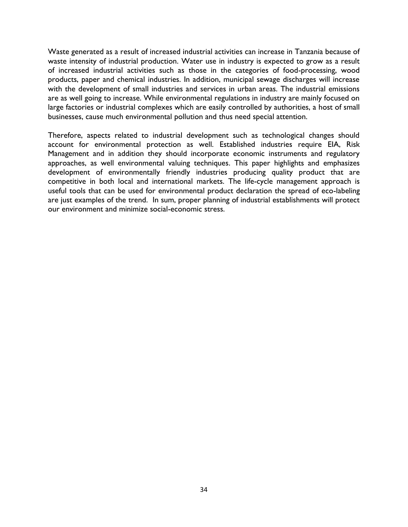Waste generated as a result of increased industrial activities can increase in Tanzania because of waste intensity of industrial production. Water use in industry is expected to grow as a result of increased industrial activities such as those in the categories of food-processing, wood products, paper and chemical industries. In addition, municipal sewage discharges will increase with the development of small industries and services in urban areas. The industrial emissions are as well going to increase. While environmental regulations in industry are mainly focused on large factories or industrial complexes which are easily controlled by authorities, a host of small businesses, cause much environmental pollution and thus need special attention.

Therefore, aspects related to industrial development such as technological changes should account for environmental protection as well. Established industries require EIA, Risk Management and in addition they should incorporate economic instruments and regulatory approaches, as well environmental valuing techniques. This paper highlights and emphasizes development of environmentally friendly industries producing quality product that are competitive in both local and international markets. The life-cycle management approach is useful tools that can be used for environmental product declaration the spread of eco-labeling are just examples of the trend. In sum, proper planning of industrial establishments will protect our environment and minimize social-economic stress.